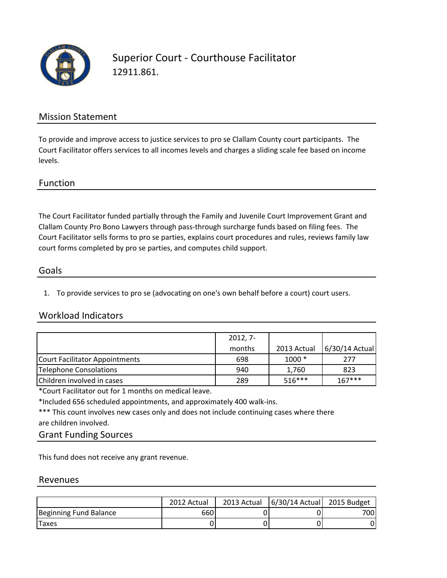

Superior Court - Courthouse Facilitator 12911.861.

### Mission Statement

To provide and improve access to justice services to pro se Clallam County court participants. The Court Facilitator offers services to all incomes levels and charges a sliding scale fee based on income levels.

Function

The Court Facilitator funded partially through the Family and Juvenile Court Improvement Grant and Clallam County Pro Bono Lawyers through pass-through surcharge funds based on filing fees. The Court Facilitator sells forms to pro se parties, explains court procedures and rules, reviews family law court forms completed by pro se parties, and computes child support.

#### Goals

1. To provide services to pro se (advocating on one's own behalf before a court) court users.

## Workload Indicators

|                                | $2012, 7-$ |             |                |
|--------------------------------|------------|-------------|----------------|
|                                | months     | 2013 Actual | 6/30/14 Actual |
| Court Facilitator Appointments | 698        | $1000*$     | 277            |
| Telephone Consolations         | 940        | 1.760       | 823            |
| Children involved in cases     | 289        | $516***$    | $167***$       |

\*Court Facilitator out for 1 months on medical leave.

\*Included 656 scheduled appointments, and approximately 400 walk-ins.

are children involved. \*\*\* This count involves new cases only and does not include continuing cases where there

#### Grant Funding Sources

This fund does not receive any grant revenue.

#### Revenues

|                        | 2012 Actual | 2013 Actual   6/30/14 Actual 2015 Budget |      |
|------------------------|-------------|------------------------------------------|------|
| Beginning Fund Balance | 660         |                                          | 700I |
| <b>Taxes</b>           |             |                                          |      |